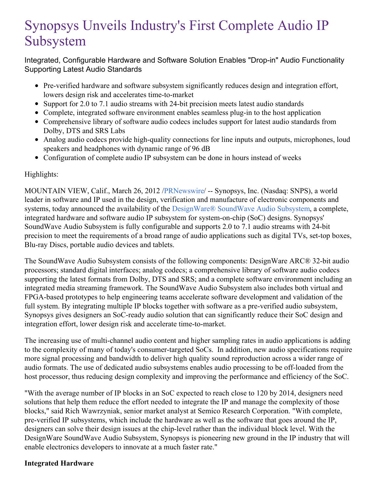# Synopsys Unveils Industry's First Complete Audio IP Subsystem

Integrated, Configurable Hardware and Software Solution Enables "Drop-in" Audio Functionality Supporting Latest Audio Standards

- Pre-verified hardware and software subsystem significantly reduces design and integration effort, lowers design risk and accelerates time-to-market
- Support for 2.0 to 7.1 audio streams with 24-bit precision meets latest audio standards
- Complete, integrated software environment enables seamless plug-in to the host application
- Comprehensive library of software audio codecs includes support for latest audio standards from Dolby, DTS and SRS Labs
- Analog audio codecs provide high-quality connections for line inputs and outputs, microphones, loud speakers and headphones with dynamic range of 96 dB
- Configuration of complete audio IP subsystem can be done in hours instead of weeks

## Highlights:

MOUNTAIN VIEW, Calif., March 26, 2012 [/PRNewswire](http://www.prnewswire.com/)/ -- Synopsys, Inc. (Nasdaq: SNPS), a world leader in software and IP used in the design, verification and manufacture of electronic components and systems, today announced the availability of the [DesignWare®](http://www.synopsys.com/audiosubsystem) SoundWave Audio Subsystem, a complete, integrated hardware and software audio IP subsystem for system-on-chip (SoC) designs. Synopsys' SoundWave Audio Subsystem is fully configurable and supports 2.0 to 7.1 audio streams with 24-bit precision to meet the requirements of a broad range of audio applications such as digital TVs, set-top boxes, Blu-ray Discs, portable audio devices and tablets.

The SoundWave Audio Subsystem consists of the following components: DesignWare ARC® 32-bit audio processors; standard digital interfaces; analog codecs; a comprehensive library of software audio codecs supporting the latest formats from Dolby, DTS and SRS; and a complete software environment including an integrated media streaming framework. The SoundWave Audio Subsystem also includes both virtual and FPGA-based prototypes to help engineering teams accelerate software development and validation of the full system. By integrating multiple IP blocks together with software as a pre-verified audio subsystem, Synopsys gives designers an SoC-ready audio solution that can significantly reduce their SoC design and integration effort, lower design risk and accelerate time-to-market.

The increasing use of multi-channel audio content and higher sampling rates in audio applications is adding to the complexity of many of today's consumer-targeted SoCs. In addition, new audio specifications require more signal processing and bandwidth to deliver high quality sound reproduction across a wider range of audio formats. The use of dedicated audio subsystems enables audio processing to be off-loaded from the host processor, thus reducing design complexity and improving the performance and efficiency of the SoC.

"With the average number of IP blocks in an SoC expected to reach close to 120 by 2014, designers need solutions that help them reduce the effort needed to integrate the IP and manage the complexity of those blocks," said Rich Wawrzyniak, senior market analyst at Semico Research Corporation. "With complete, pre-verified IP subsystems, which include the hardware as well as the software that goes around the IP, designers can solve their design issues at the chip-level rather than the individual block level. With the DesignWare SoundWave Audio Subsystem, Synopsys is pioneering new ground in the IP industry that will enable electronics developers to innovate at a much faster rate."

## **Integrated Hardware**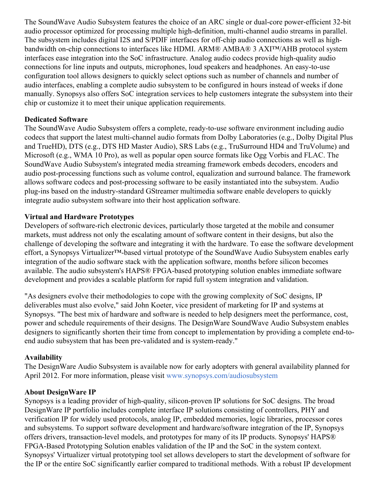The SoundWave Audio Subsystem features the choice of an ARC single or dual-core power-efficient 32-bit audio processor optimized for processing multiple high-definition, multi-channel audio streams in parallel. The subsystem includes digital I2S and S/PDIF interfaces for off-chip audio connections as well as highbandwidth on-chip connections to interfaces like HDMI. ARM® AMBA® 3 AXI™/AHB protocol system interfaces ease integration into the SoC infrastructure. Analog audio codecs provide high-quality audio connections for line inputs and outputs, microphones, loud speakers and headphones. An easy-to-use configuration tool allows designers to quickly select options such as number of channels and number of audio interfaces, enabling a complete audio subsystem to be configured in hours instead of weeks if done manually. Synopsys also offers SoC integration services to help customers integrate the subsystem into their chip or customize it to meet their unique application requirements.

## **Dedicated Software**

The SoundWave Audio Subsystem offers a complete, ready-to-use software environment including audio codecs that support the latest multi-channel audio formats from Dolby Laboratories (e.g., Dolby Digital Plus and TrueHD), DTS (e.g., DTS HD Master Audio), SRS Labs (e.g., TruSurround HD4 and TruVolume) and Microsoft (e.g., WMA 10 Pro), as well as popular open source formats like Ogg Vorbis and FLAC. The SoundWave Audio Subsystem's integrated media streaming framework embeds decoders, encoders and audio post-processing functions such as volume control, equalization and surround balance. The framework allows software codecs and post-processing software to be easily instantiated into the subsystem. Audio plug-ins based on the industry-standard GStreamer multimedia software enable developers to quickly integrate audio subsystem software into their host application software.

## **Virtual and Hardware Prototypes**

Developers of software-rich electronic devices, particularly those targeted at the mobile and consumer markets, must address not only the escalating amount of software content in their designs, but also the challenge of developing the software and integrating it with the hardware. To ease the software development effort, a Synopsys Virtualizer™-based virtual prototype of the SoundWave Audio Subsystem enables early integration of the audio software stack with the application software, months before silicon becomes available. The audio subsystem's HAPS® FPGA-based prototyping solution enables immediate software development and provides a scalable platform for rapid full system integration and validation.

"As designers evolve their methodologies to cope with the growing complexity of SoC designs, IP deliverables must also evolve," said John Koeter, vice president of marketing for IP and systems at Synopsys. "The best mix of hardware and software is needed to help designers meet the performance, cost, power and schedule requirements of their designs. The DesignWare SoundWave Audio Subsystem enables designers to significantly shorten their time from concept to implementation by providing a complete end-toend audio subsystem that has been pre-validated and is system-ready."

#### **Availability**

The DesignWare Audio Subsystem is available now for early adopters with general availability planned for April 2012. For more information, please visit [www.synopsys.com/audiosubsystem](http://www.synopsys.com/audiosubsystem)

#### **About DesignWare IP**

Synopsys is a leading provider of high-quality, silicon-proven IP solutions for SoC designs. The broad DesignWare IP portfolio includes complete interface IP solutions consisting of controllers, PHY and verification IP for widely used protocols, analog IP, embedded memories, logic libraries, processor cores and subsystems. To support software development and hardware/software integration of the IP, Synopsys offers drivers, transaction-level models, and prototypes for many of its IP products. Synopsys' HAPS® FPGA-Based Prototyping Solution enables validation of the IP and the SoC in the system context. Synopsys' Virtualizer virtual prototyping tool set allows developers to start the development of software for the IP or the entire SoC significantly earlier compared to traditional methods. With a robust IP development